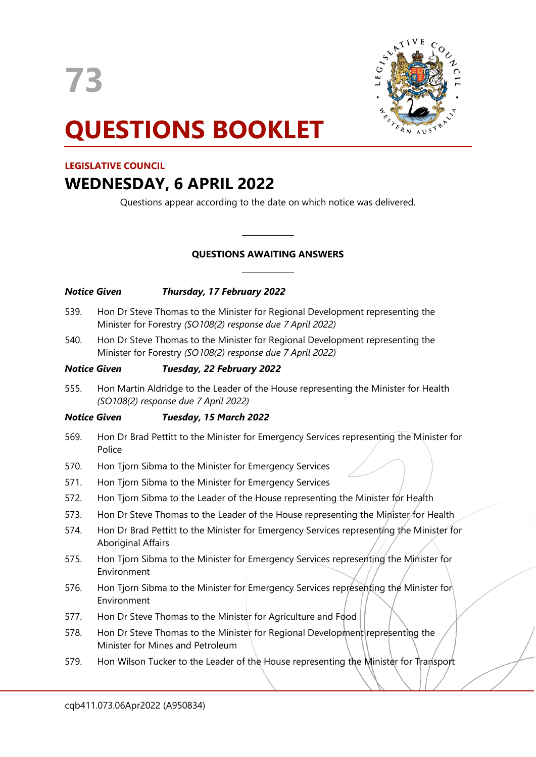

# **QUESTIONS BOOKLET**

# **LEGISLATIVE COUNCIL**

# **WEDNESDAY, 6 APRIL 2022**

Questions appear according to the date on which notice was delivered.

# **QUESTIONS AWAITING ANSWERS**

 $\overline{\phantom{a}}$ 

 $\overline{\phantom{a}}$ 

| <b>Notice Given</b> | Thursday, 17 February 2022                                                                                                                  |
|---------------------|---------------------------------------------------------------------------------------------------------------------------------------------|
| 539.                | Hon Dr Steve Thomas to the Minister for Regional Development representing the<br>Minister for Forestry (SO108(2) response due 7 April 2022) |
| 540.                | Hon Dr Steve Thomas to the Minister for Regional Development representing the<br>Minister for Forestry (SO108(2) response due 7 April 2022) |
| <b>Notice Given</b> | Tuesday, 22 February 2022                                                                                                                   |
| 555.                | Hon Martin Aldridge to the Leader of the House representing the Minister for Health<br>(SO108(2) response due 7 April 2022)                 |
| <b>Notice Given</b> | Tuesday, 15 March 2022                                                                                                                      |
| 569.                | Hon Dr Brad Pettitt to the Minister for Emergency Services representing the Minister for<br>Police                                          |
| 570.                | Hon Tjorn Sibma to the Minister for Emergency Services                                                                                      |
| 571.                | Hon Tjorn Sibma to the Minister for Emergency Services                                                                                      |
| 572.                | Hon Tjorn Sibma to the Leader of the House representing the Minister for Health                                                             |

- 573. Hon Dr Steve Thomas to the Leader of the House representing the Minister for Health
- 574. Hon Dr Brad Pettitt to the Minister for Emergency Services representing the Minister for Aboriginal Affairs
- 575. Hon Tjorn Sibma to the Minister for Emergency Services representing the Minister for Environment
- 576. Hon Tjorn Sibma to the Minister for Emergency Services representing the Minister for Environment
- 577. Hon Dr Steve Thomas to the Minister for Agriculture and Food
- 578. Hon Dr Steve Thomas to the Minister for Regional Development representing the Minister for Mines and Petroleum
- 579. Hon Wilson Tucker to the Leader of the House representing the Minister for Transport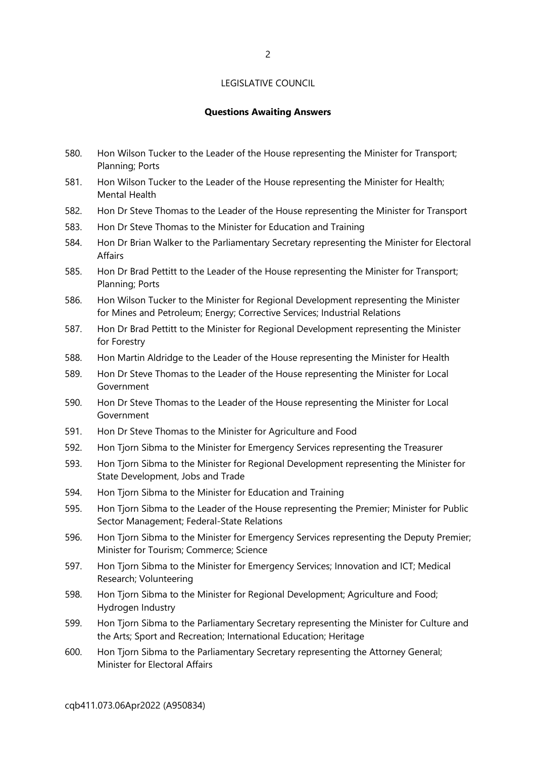#### **Questions Awaiting Answers**

- 580. Hon Wilson Tucker to the Leader of the House representing the Minister for Transport; Planning; Ports
- 581. Hon Wilson Tucker to the Leader of the House representing the Minister for Health; Mental Health
- 582. Hon Dr Steve Thomas to the Leader of the House representing the Minister for Transport
- 583. Hon Dr Steve Thomas to the Minister for Education and Training
- 584. Hon Dr Brian Walker to the Parliamentary Secretary representing the Minister for Electoral Affairs
- 585. Hon Dr Brad Pettitt to the Leader of the House representing the Minister for Transport; Planning; Ports
- 586. Hon Wilson Tucker to the Minister for Regional Development representing the Minister for Mines and Petroleum; Energy; Corrective Services; Industrial Relations
- 587. Hon Dr Brad Pettitt to the Minister for Regional Development representing the Minister for Forestry
- 588. Hon Martin Aldridge to the Leader of the House representing the Minister for Health
- 589. Hon Dr Steve Thomas to the Leader of the House representing the Minister for Local Government
- 590. Hon Dr Steve Thomas to the Leader of the House representing the Minister for Local Government
- 591. Hon Dr Steve Thomas to the Minister for Agriculture and Food
- 592. Hon Tjorn Sibma to the Minister for Emergency Services representing the Treasurer
- 593. Hon Tjorn Sibma to the Minister for Regional Development representing the Minister for State Development, Jobs and Trade
- 594. Hon Tjorn Sibma to the Minister for Education and Training
- 595. Hon Tjorn Sibma to the Leader of the House representing the Premier; Minister for Public Sector Management; Federal-State Relations
- 596. Hon Tjorn Sibma to the Minister for Emergency Services representing the Deputy Premier; Minister for Tourism; Commerce; Science
- 597. Hon Tjorn Sibma to the Minister for Emergency Services; Innovation and ICT; Medical Research; Volunteering
- 598. Hon Tjorn Sibma to the Minister for Regional Development; Agriculture and Food; Hydrogen Industry
- 599. Hon Tjorn Sibma to the Parliamentary Secretary representing the Minister for Culture and the Arts; Sport and Recreation; International Education; Heritage
- 600. Hon Tjorn Sibma to the Parliamentary Secretary representing the Attorney General; Minister for Electoral Affairs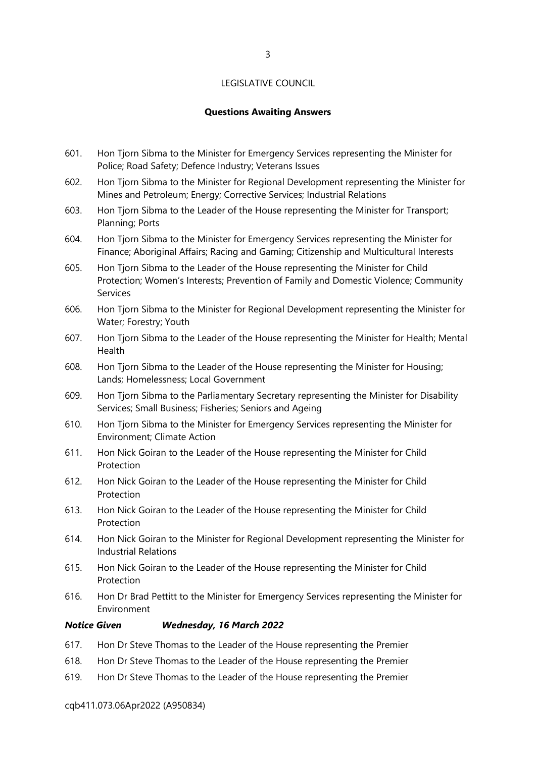#### **Questions Awaiting Answers**

- 601. Hon Tjorn Sibma to the Minister for Emergency Services representing the Minister for Police; Road Safety; Defence Industry; Veterans Issues
- 602. Hon Tjorn Sibma to the Minister for Regional Development representing the Minister for Mines and Petroleum; Energy; Corrective Services; Industrial Relations
- 603. Hon Tjorn Sibma to the Leader of the House representing the Minister for Transport; Planning; Ports
- 604. Hon Tjorn Sibma to the Minister for Emergency Services representing the Minister for Finance; Aboriginal Affairs; Racing and Gaming; Citizenship and Multicultural Interests
- 605. Hon Tjorn Sibma to the Leader of the House representing the Minister for Child Protection; Women's Interests; Prevention of Family and Domestic Violence; Community Services
- 606. Hon Tjorn Sibma to the Minister for Regional Development representing the Minister for Water; Forestry; Youth
- 607. Hon Tjorn Sibma to the Leader of the House representing the Minister for Health; Mental Health
- 608. Hon Tjorn Sibma to the Leader of the House representing the Minister for Housing; Lands; Homelessness; Local Government
- 609. Hon Tjorn Sibma to the Parliamentary Secretary representing the Minister for Disability Services; Small Business; Fisheries; Seniors and Ageing
- 610. Hon Tjorn Sibma to the Minister for Emergency Services representing the Minister for Environment; Climate Action
- 611. Hon Nick Goiran to the Leader of the House representing the Minister for Child Protection
- 612. Hon Nick Goiran to the Leader of the House representing the Minister for Child **Protection**
- 613. Hon Nick Goiran to the Leader of the House representing the Minister for Child Protection
- 614. Hon Nick Goiran to the Minister for Regional Development representing the Minister for Industrial Relations
- 615. Hon Nick Goiran to the Leader of the House representing the Minister for Child Protection
- 616. Hon Dr Brad Pettitt to the Minister for Emergency Services representing the Minister for Environment

#### *Notice Given Wednesday, 16 March 2022*

- 617. Hon Dr Steve Thomas to the Leader of the House representing the Premier
- 618. Hon Dr Steve Thomas to the Leader of the House representing the Premier
- 619. Hon Dr Steve Thomas to the Leader of the House representing the Premier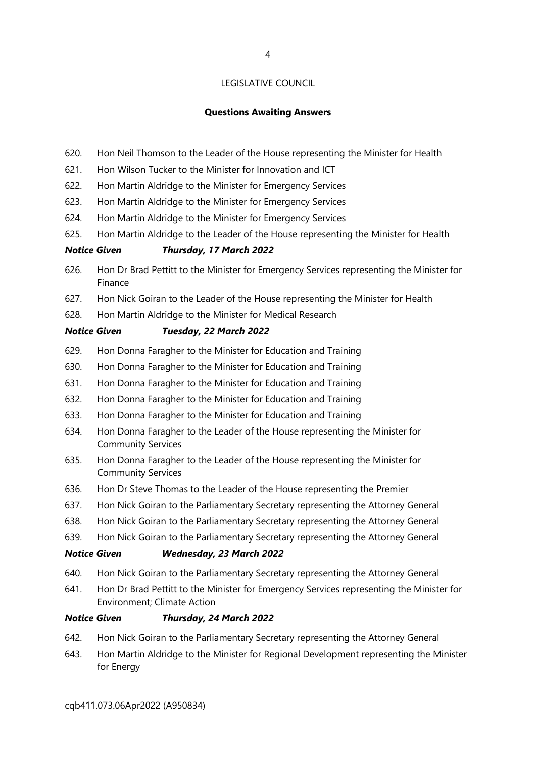#### **Questions Awaiting Answers**

- 620. Hon Neil Thomson to the Leader of the House representing the Minister for Health
- 621. Hon Wilson Tucker to the Minister for Innovation and ICT
- 622. Hon Martin Aldridge to the Minister for Emergency Services
- 623. Hon Martin Aldridge to the Minister for Emergency Services
- 624. Hon Martin Aldridge to the Minister for Emergency Services
- 625. Hon Martin Aldridge to the Leader of the House representing the Minister for Health

#### *Notice Given Thursday, 17 March 2022*

- 626. Hon Dr Brad Pettitt to the Minister for Emergency Services representing the Minister for Finance
- 627. Hon Nick Goiran to the Leader of the House representing the Minister for Health
- 628. Hon Martin Aldridge to the Minister for Medical Research

#### *Notice Given Tuesday, 22 March 2022*

- 629. Hon Donna Faragher to the Minister for Education and Training
- 630. Hon Donna Faragher to the Minister for Education and Training
- 631. Hon Donna Faragher to the Minister for Education and Training
- 632. Hon Donna Faragher to the Minister for Education and Training
- 633. Hon Donna Faragher to the Minister for Education and Training
- 634. Hon Donna Faragher to the Leader of the House representing the Minister for Community Services
- 635. Hon Donna Faragher to the Leader of the House representing the Minister for Community Services
- 636. Hon Dr Steve Thomas to the Leader of the House representing the Premier
- 637. Hon Nick Goiran to the Parliamentary Secretary representing the Attorney General
- 638. Hon Nick Goiran to the Parliamentary Secretary representing the Attorney General
- 639. Hon Nick Goiran to the Parliamentary Secretary representing the Attorney General

#### *Notice Given Wednesday, 23 March 2022*

- 640. Hon Nick Goiran to the Parliamentary Secretary representing the Attorney General
- 641. Hon Dr Brad Pettitt to the Minister for Emergency Services representing the Minister for Environment; Climate Action

#### *Notice Given Thursday, 24 March 2022*

- 642. Hon Nick Goiran to the Parliamentary Secretary representing the Attorney General
- 643. Hon Martin Aldridge to the Minister for Regional Development representing the Minister for Energy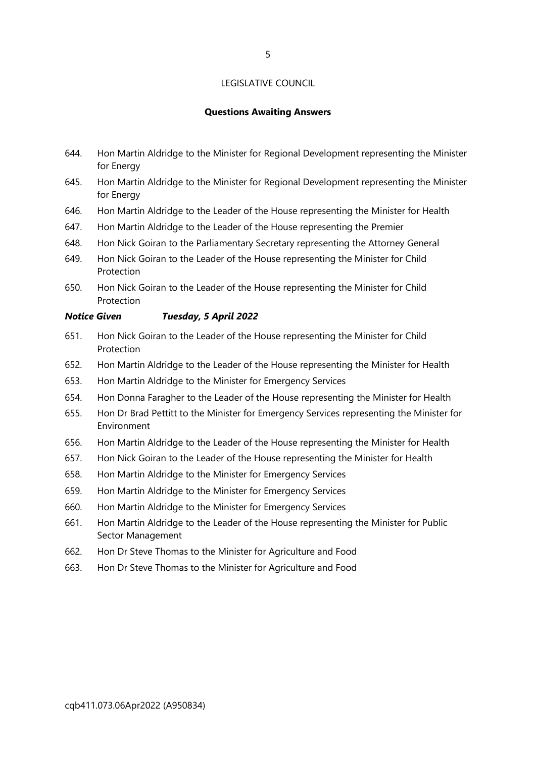#### **Questions Awaiting Answers**

- 644. Hon Martin Aldridge to the Minister for Regional Development representing the Minister for Energy
- 645. Hon Martin Aldridge to the Minister for Regional Development representing the Minister for Energy
- 646. Hon Martin Aldridge to the Leader of the House representing the Minister for Health
- 647. Hon Martin Aldridge to the Leader of the House representing the Premier
- 648. Hon Nick Goiran to the Parliamentary Secretary representing the Attorney General
- 649. Hon Nick Goiran to the Leader of the House representing the Minister for Child Protection
- 650. Hon Nick Goiran to the Leader of the House representing the Minister for Child Protection
- *Notice Given Tuesday, 5 April 2022*
- 651. Hon Nick Goiran to the Leader of the House representing the Minister for Child Protection
- 652. Hon Martin Aldridge to the Leader of the House representing the Minister for Health
- 653. Hon Martin Aldridge to the Minister for Emergency Services
- 654. Hon Donna Faragher to the Leader of the House representing the Minister for Health
- 655. Hon Dr Brad Pettitt to the Minister for Emergency Services representing the Minister for Environment
- 656. Hon Martin Aldridge to the Leader of the House representing the Minister for Health
- 657. Hon Nick Goiran to the Leader of the House representing the Minister for Health
- 658. Hon Martin Aldridge to the Minister for Emergency Services
- 659. Hon Martin Aldridge to the Minister for Emergency Services
- 660. Hon Martin Aldridge to the Minister for Emergency Services
- 661. Hon Martin Aldridge to the Leader of the House representing the Minister for Public Sector Management
- 662. Hon Dr Steve Thomas to the Minister for Agriculture and Food
- 663. Hon Dr Steve Thomas to the Minister for Agriculture and Food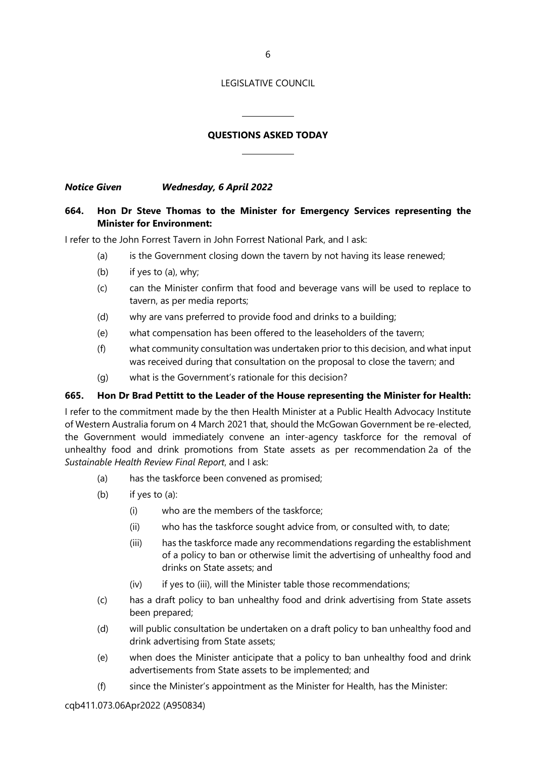# **QUESTIONS ASKED TODAY**

 $\overline{a}$ 

 $\overline{\phantom{a}}$ 

*Notice Given Wednesday, 6 April 2022*

#### **664. Hon Dr Steve Thomas to the Minister for Emergency Services representing the Minister for Environment:**

I refer to the John Forrest Tavern in John Forrest National Park, and I ask:

- (a) is the Government closing down the tavern by not having its lease renewed;
- (b) if yes to (a), why;
- (c) can the Minister confirm that food and beverage vans will be used to replace to tavern, as per media reports;
- (d) why are vans preferred to provide food and drinks to a building;
- (e) what compensation has been offered to the leaseholders of the tavern;
- (f) what community consultation was undertaken prior to this decision, and what input was received during that consultation on the proposal to close the tavern; and
- (g) what is the Government's rationale for this decision?

#### **665. Hon Dr Brad Pettitt to the Leader of the House representing the Minister for Health:**

I refer to the commitment made by the then Health Minister at a Public Health Advocacy Institute of Western Australia forum on 4 March 2021 that, should the McGowan Government be re-elected, the Government would immediately convene an inter-agency taskforce for the removal of unhealthy food and drink promotions from State assets as per recommendation 2a of the *Sustainable Health Review Final Report*, and I ask:

- (a) has the taskforce been convened as promised;
- (b) if yes to (a):
	- (i) who are the members of the taskforce;
	- (ii) who has the taskforce sought advice from, or consulted with, to date;
	- (iii) has the taskforce made any recommendations regarding the establishment of a policy to ban or otherwise limit the advertising of unhealthy food and drinks on State assets; and
	- (iv) if yes to (iii), will the Minister table those recommendations;
- (c) has a draft policy to ban unhealthy food and drink advertising from State assets been prepared;
- (d) will public consultation be undertaken on a draft policy to ban unhealthy food and drink advertising from State assets;
- (e) when does the Minister anticipate that a policy to ban unhealthy food and drink advertisements from State assets to be implemented; and
- (f) since the Minister's appointment as the Minister for Health, has the Minister: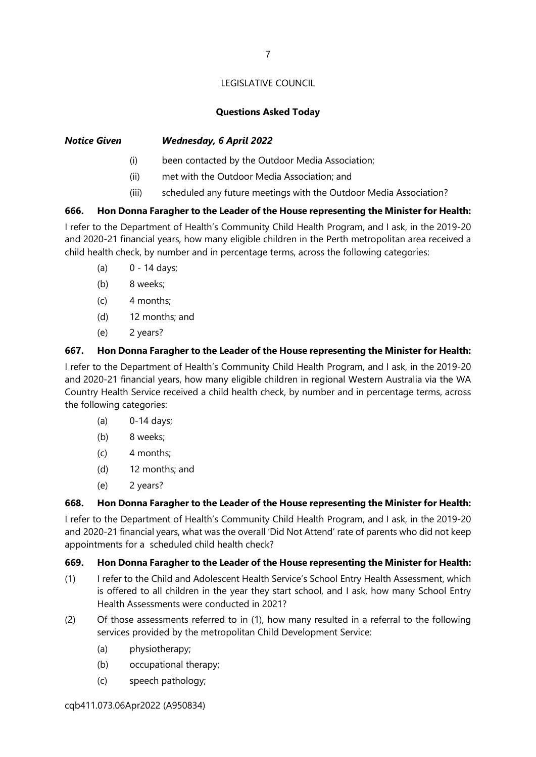# **Questions Asked Today**

# *Notice Given Wednesday, 6 April 2022*

- (i) been contacted by the Outdoor Media Association;
- (ii) met with the Outdoor Media Association; and
- (iii) scheduled any future meetings with the Outdoor Media Association?

# **666. Hon Donna Faragher to the Leader of the House representing the Minister for Health:**

I refer to the Department of Health's Community Child Health Program, and I ask, in the 2019-20 and 2020-21 financial years, how many eligible children in the Perth metropolitan area received a child health check, by number and in percentage terms, across the following categories:

- (a) 0 14 days;
- (b) 8 weeks;
- $(c)$  4 months;
- (d) 12 months; and
- (e) 2 years?

# **667. Hon Donna Faragher to the Leader of the House representing the Minister for Health:**

I refer to the Department of Health's Community Child Health Program, and I ask, in the 2019-20 and 2020-21 financial years, how many eligible children in regional Western Australia via the WA Country Health Service received a child health check, by number and in percentage terms, across the following categories:

- (a) 0-14 days;
- (b) 8 weeks;
- $(c)$  4 months;
- (d) 12 months; and
- (e) 2 years?

# **668. Hon Donna Faragher to the Leader of the House representing the Minister for Health:**

I refer to the Department of Health's Community Child Health Program, and I ask, in the 2019-20 and 2020-21 financial years, what was the overall 'Did Not Attend' rate of parents who did not keep appointments for a scheduled child health check?

# **669. Hon Donna Faragher to the Leader of the House representing the Minister for Health:**

- (1) I refer to the Child and Adolescent Health Service's School Entry Health Assessment, which is offered to all children in the year they start school, and I ask, how many School Entry Health Assessments were conducted in 2021?
- (2) Of those assessments referred to in (1), how many resulted in a referral to the following services provided by the metropolitan Child Development Service:
	- (a) physiotherapy;
	- (b) occupational therapy;
	- (c) speech pathology;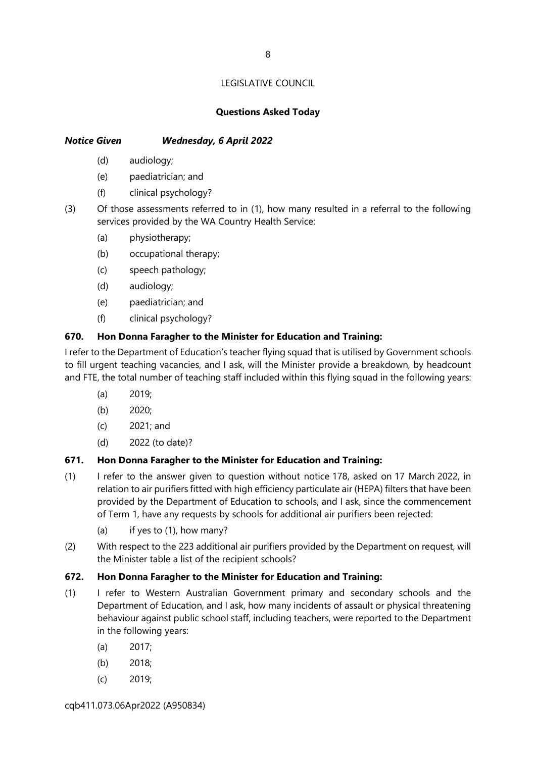# **Questions Asked Today**

# *Notice Given Wednesday, 6 April 2022*

- (d) audiology;
- (e) paediatrician; and
- (f) clinical psychology?
- (3) Of those assessments referred to in (1), how many resulted in a referral to the following services provided by the WA Country Health Service:
	- (a) physiotherapy;
	- (b) occupational therapy;
	- (c) speech pathology;
	- (d) audiology;
	- (e) paediatrician; and
	- (f) clinical psychology?

# **670. Hon Donna Faragher to the Minister for Education and Training:**

I refer to the Department of Education's teacher flying squad that is utilised by Government schools to fill urgent teaching vacancies, and I ask, will the Minister provide a breakdown, by headcount and FTE, the total number of teaching staff included within this flying squad in the following years:

- (a) 2019;
- (b) 2020;
- (c) 2021; and
- (d) 2022 (to date)?

# **671. Hon Donna Faragher to the Minister for Education and Training:**

- (1) I refer to the answer given to question without notice 178, asked on 17 March 2022, in relation to air purifiers fitted with high efficiency particulate air (HEPA) filters that have been provided by the Department of Education to schools, and I ask, since the commencement of Term 1, have any requests by schools for additional air purifiers been rejected:
	- (a) if yes to (1), how many?
- (2) With respect to the 223 additional air purifiers provided by the Department on request, will the Minister table a list of the recipient schools?

# **672. Hon Donna Faragher to the Minister for Education and Training:**

- (1) I refer to Western Australian Government primary and secondary schools and the Department of Education, and I ask, how many incidents of assault or physical threatening behaviour against public school staff, including teachers, were reported to the Department in the following years:
	- (a) 2017;
	- (b) 2018;
	- (c) 2019;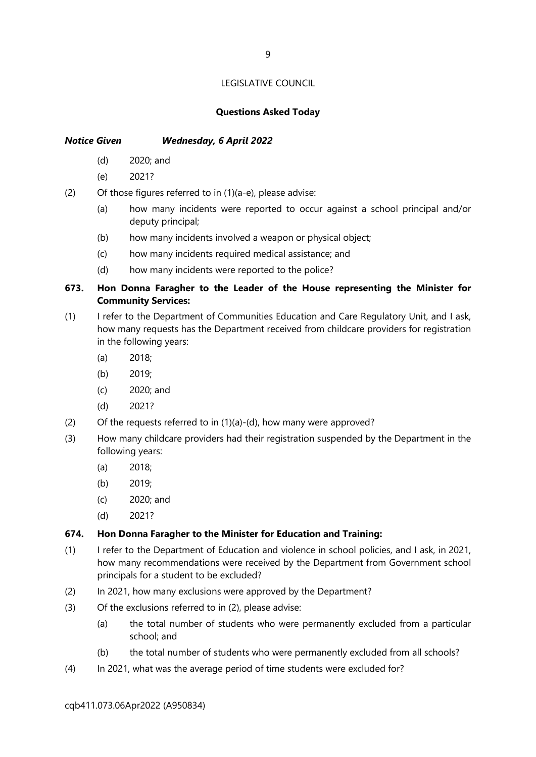#### **Questions Asked Today**

## *Notice Given Wednesday, 6 April 2022*

- (d) 2020; and
- (e) 2021?
- (2) Of those figures referred to in (1)(a-e), please advise:
	- (a) how many incidents were reported to occur against a school principal and/or deputy principal;
	- (b) how many incidents involved a weapon or physical object;
	- (c) how many incidents required medical assistance; and
	- (d) how many incidents were reported to the police?

# **673. Hon Donna Faragher to the Leader of the House representing the Minister for Community Services:**

- (1) I refer to the Department of Communities Education and Care Regulatory Unit, and I ask, how many requests has the Department received from childcare providers for registration in the following years:
	- (a) 2018;
	- (b) 2019;
	- (c) 2020; and
	- (d) 2021?
- (2) Of the requests referred to in  $(1)(a)-(d)$ , how many were approved?
- (3) How many childcare providers had their registration suspended by the Department in the following years:
	- (a) 2018;
	- (b) 2019;
	- (c) 2020; and
	- (d) 2021?

#### **674. Hon Donna Faragher to the Minister for Education and Training:**

- (1) I refer to the Department of Education and violence in school policies, and I ask, in 2021, how many recommendations were received by the Department from Government school principals for a student to be excluded?
- (2) In 2021, how many exclusions were approved by the Department?
- (3) Of the exclusions referred to in (2), please advise:
	- (a) the total number of students who were permanently excluded from a particular school; and
	- (b) the total number of students who were permanently excluded from all schools?
- (4) In 2021, what was the average period of time students were excluded for?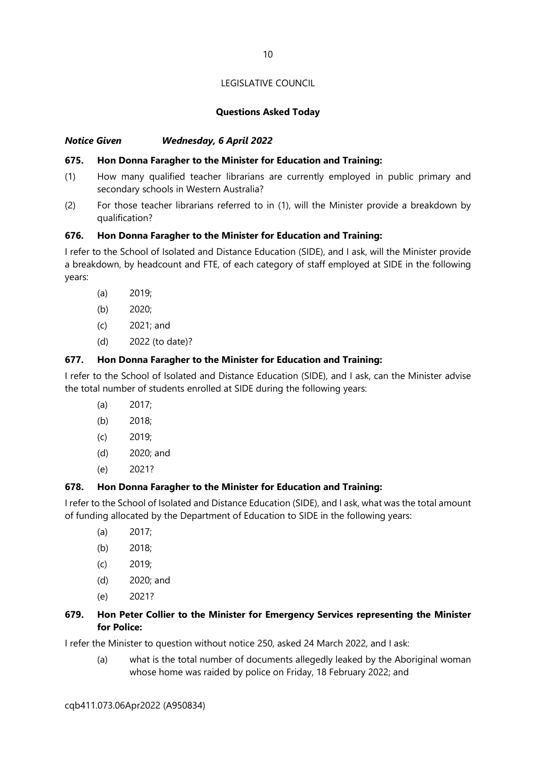# **Questions Asked Today**

# *Notice Given Wednesday, 6 April 2022*

# **675. Hon Donna Faragher to the Minister for Education and Training:**

- (1) How many qualified teacher librarians are currently employed in public primary and secondary schools in Western Australia?
- (2) For those teacher librarians referred to in (1), will the Minister provide a breakdown by qualification?

# **676. Hon Donna Faragher to the Minister for Education and Training:**

I refer to the School of Isolated and Distance Education (SIDE), and I ask, will the Minister provide a breakdown, by headcount and FTE, of each category of staff employed at SIDE in the following years:

- (a) 2019;
- (b) 2020;
- (c) 2021; and
- (d) 2022 (to date)?

# **677. Hon Donna Faragher to the Minister for Education and Training:**

I refer to the School of Isolated and Distance Education (SIDE), and I ask, can the Minister advise the total number of students enrolled at SIDE during the following years:

- (a) 2017;
- (b) 2018;
- (c) 2019;
- (d) 2020; and
- (e) 2021?

# **678. Hon Donna Faragher to the Minister for Education and Training:**

I refer to the School of Isolated and Distance Education (SIDE), and I ask, what was the total amount of funding allocated by the Department of Education to SIDE in the following years:

- (a) 2017;
- (b) 2018;
- (c) 2019;
- (d) 2020; and
- (e) 2021?

# **679. Hon Peter Collier to the Minister for Emergency Services representing the Minister for Police:**

I refer the Minister to question without notice 250, asked 24 March 2022, and I ask:

(a) what is the total number of documents allegedly leaked by the Aboriginal woman whose home was raided by police on Friday, 18 February 2022; and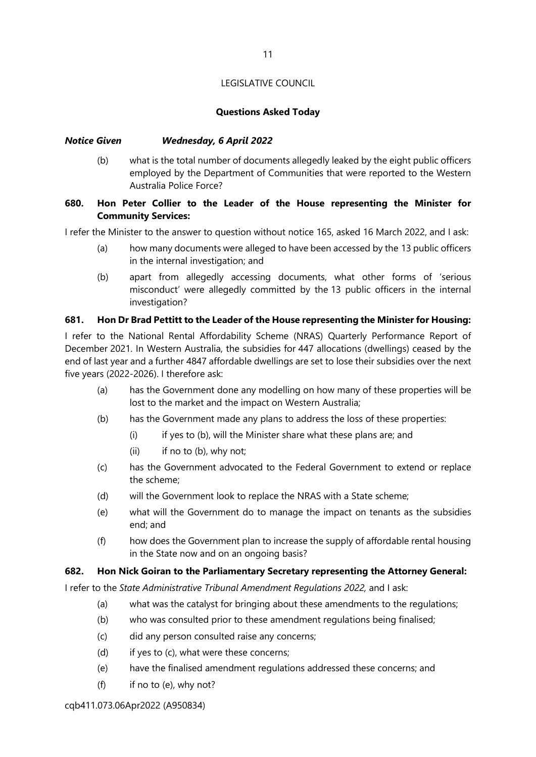#### **Questions Asked Today**

#### *Notice Given Wednesday, 6 April 2022*

(b) what is the total number of documents allegedly leaked by the eight public officers employed by the Department of Communities that were reported to the Western Australia Police Force?

# **680. Hon Peter Collier to the Leader of the House representing the Minister for Community Services:**

I refer the Minister to the answer to question without notice 165, asked 16 March 2022, and I ask:

- (a) how many documents were alleged to have been accessed by the 13 public officers in the internal investigation; and
- (b) apart from allegedly accessing documents, what other forms of 'serious misconduct' were allegedly committed by the 13 public officers in the internal investigation?

#### **681. Hon Dr Brad Pettitt to the Leader of the House representing the Minister for Housing:**

I refer to the National Rental Affordability Scheme (NRAS) Quarterly Performance Report of December 2021. In Western Australia, the subsidies for 447 allocations (dwellings) ceased by the end of last year and a further 4847 affordable dwellings are set to lose their subsidies over the next five years (2022-2026). I therefore ask:

- (a) has the Government done any modelling on how many of these properties will be lost to the market and the impact on Western Australia;
- (b) has the Government made any plans to address the loss of these properties:
	- (i) if yes to (b), will the Minister share what these plans are; and
	- $(ii)$  if no to  $(b)$ , why not;
- (c) has the Government advocated to the Federal Government to extend or replace the scheme;
- (d) will the Government look to replace the NRAS with a State scheme;
- (e) what will the Government do to manage the impact on tenants as the subsidies end; and
- (f) how does the Government plan to increase the supply of affordable rental housing in the State now and on an ongoing basis?

#### **682. Hon Nick Goiran to the Parliamentary Secretary representing the Attorney General:**

I refer to the *State Administrative Tribunal Amendment Regulations 2022,* and I ask:

- (a) what was the catalyst for bringing about these amendments to the regulations;
- (b) who was consulted prior to these amendment regulations being finalised;
- (c) did any person consulted raise any concerns;
- (d) if yes to (c), what were these concerns;
- (e) have the finalised amendment regulations addressed these concerns; and
- $(f)$  if no to  $(e)$ , why not?

cqb411.073.06Apr2022 (A950834)